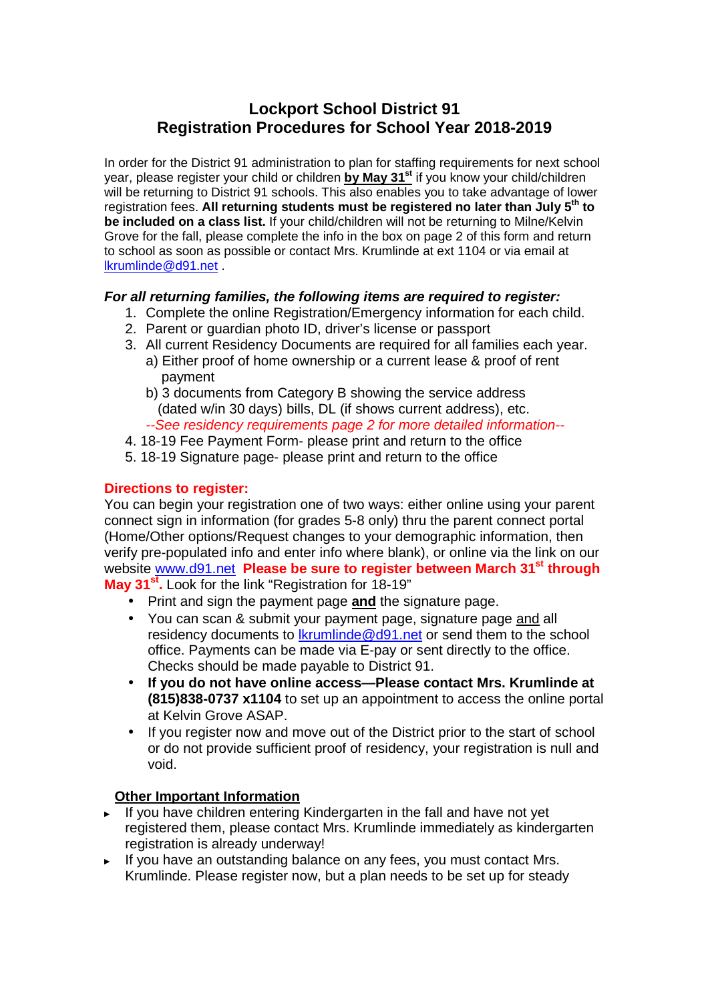# **Lockport School District 91 Registration Procedures for School Year 2018-2019**

In order for the District 91 administration to plan for staffing requirements for next school year, please register your child or children **by May 31st** if you know your child/children will be returning to District 91 schools. This also enables you to take advantage of lower registration fees. **All returning students must be registered no later than July 5th to be included on a class list.** If your child/children will not be returning to Milne/Kelvin Grove for the fall, please complete the info in the box on page 2 of this form and return to school as soon as possible or contact Mrs. Krumlinde at ext 1104 or via email at lkrumlinde@d91.net .

### **For all returning families, the following items are required to register:**

- 1. Complete the online Registration/Emergency information for each child.
- 2. Parent or guardian photo ID, driver's license or passport
- 3. All current Residency Documents are required for all families each year.
	- a) Either proof of home ownership or a current lease & proof of rent payment
	- b) 3 documents from Category B showing the service address (dated w/in 30 days) bills, DL (if shows current address), etc. --See residency requirements page 2 for more detailed information--
- 4. 18-19 Fee Payment Form- please print and return to the office
- 5. 18-19 Signature page- please print and return to the office

### **Directions to register:**

You can begin your registration one of two ways: either online using your parent connect sign in information (for grades 5-8 only) thru the parent connect portal (Home/Other options/Request changes to your demographic information, then verify pre-populated info and enter info where blank), or online via the link on our website www.d91.net **Please be sure to register between March 31st through May 31st .** Look for the link "Registration for 18-19"

- Print and sign the payment page **and** the signature page.
- You can scan & submit your payment page, signature page and all residency documents to lkrumlinde@d91.net or send them to the school office. Payments can be made via E-pay or sent directly to the office. Checks should be made payable to District 91.
- **If you do not have online access—Please contact Mrs. Krumlinde at (815)838-0737 x1104** to set up an appointment to access the online portal at Kelvin Grove ASAP.
- If you register now and move out of the District prior to the start of school or do not provide sufficient proof of residency, your registration is null and void.

# **Other Important Information**

- ► If you have children entering Kindergarten in the fall and have not yet registered them, please contact Mrs. Krumlinde immediately as kindergarten registration is already underway!
- ► If you have an outstanding balance on any fees, you must contact Mrs. Krumlinde. Please register now, but a plan needs to be set up for steady